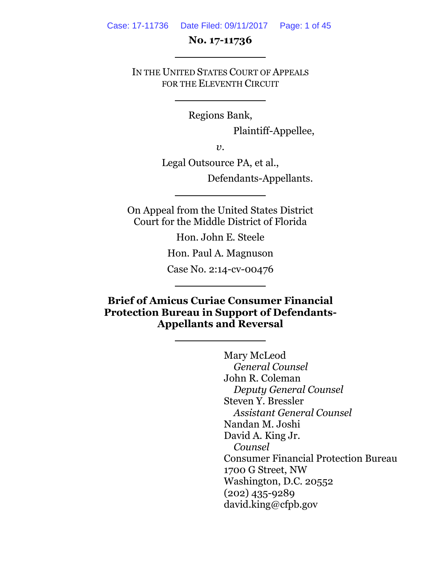#### Case: 17-11736 Date Filed: 09/11/2017 Page: 1 of 45

#### **No. 17-11736**

IN THE UNITED STATES COURT OF APPEALS FOR THE ELEVENTH CIRCUIT

Regions Bank,

Plaintiff-Appellee,

*v*.

Legal Outsource PA, et al.,

Defendants-Appellants.

On Appeal from the United States District Court for the Middle District of Florida

Hon. John E. Steele

Hon. Paul A. Magnuson

Case No. 2:14-cv-00476

**Brief of Amicus Curiae Consumer Financial Protection Bureau in Support of Defendants-Appellants and Reversal**

> Mary McLeod *General Counsel* John R. Coleman *Deputy General Counsel* Steven Y. Bressler *Assistant General Counsel* Nandan M. Joshi David A. King Jr. *Counsel* Consumer Financial Protection Bureau 1700 G Street, NW Washington, D.C. 20552 (202) 435-9289 david.king@cfpb.gov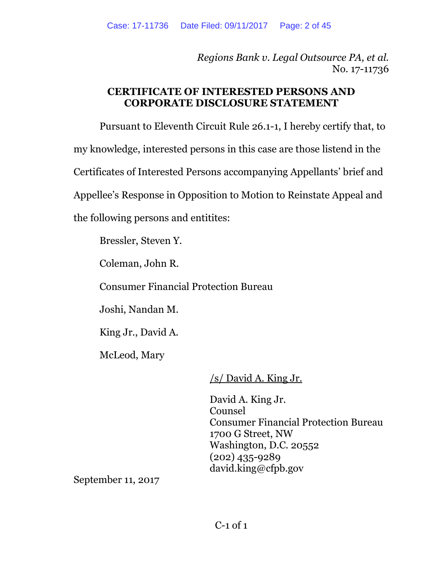*Regions Bank v. Legal Outsource PA, et al.* No. 17-11736

### **CERTIFICATE OF INTERESTED PERSONS AND CORPORATE DISCLOSURE STATEMENT**

Pursuant to Eleventh Circuit Rule 26.1-1, I hereby certify that, to my knowledge, interested persons in this case are those listend in the Certificates of Interested Persons accompanying Appellants' brief and Appellee's Response in Opposition to Motion to Reinstate Appeal and the following persons and entitites:

Bressler, Steven Y.

Coleman, John R.

Consumer Financial Protection Bureau

Joshi, Nandan M.

King Jr., David A.

McLeod, Mary

/s/ David A. King Jr.

David A. King Jr. Counsel Consumer Financial Protection Bureau 1700 G Street, NW Washington, D.C. 20552 (202) 435-9289 david.king@cfpb.gov

September 11, 2017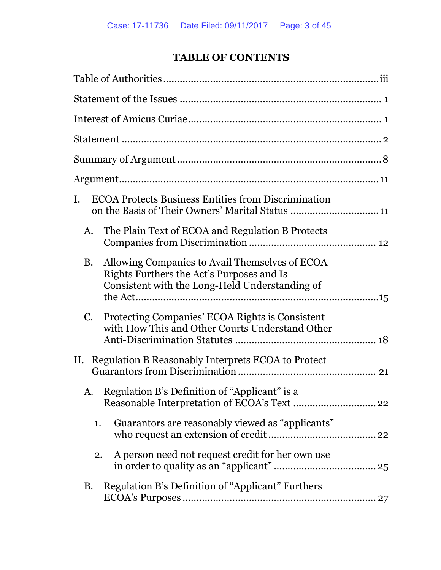# **TABLE OF CONTENTS**

| I.          | <b>ECOA Protects Business Entities from Discrimination</b>                                                                                    |  |
|-------------|-----------------------------------------------------------------------------------------------------------------------------------------------|--|
| A.          | The Plain Text of ECOA and Regulation B Protects                                                                                              |  |
| <b>B.</b>   | Allowing Companies to Avail Themselves of ECOA<br>Rights Furthers the Act's Purposes and Is<br>Consistent with the Long-Held Understanding of |  |
| $C_{\cdot}$ | Protecting Companies' ECOA Rights is Consistent<br>with How This and Other Courts Understand Other                                            |  |
|             | II. Regulation B Reasonably Interprets ECOA to Protect                                                                                        |  |
| A.          | Regulation B's Definition of "Applicant" is a                                                                                                 |  |
| 1.          | Guarantors are reasonably viewed as "applicants"                                                                                              |  |
| 2.          | A person need not request credit for her own use                                                                                              |  |
| <b>B.</b>   | Regulation B's Definition of "Applicant" Furthers                                                                                             |  |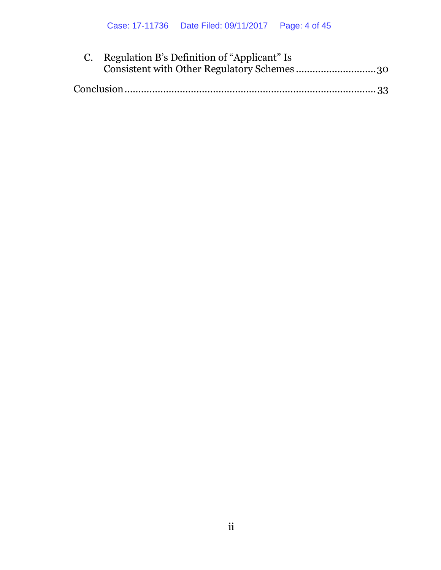| C. Regulation B's Definition of "Applicant" Is |
|------------------------------------------------|
| Consistent with Other Regulatory Schemes30     |
|                                                |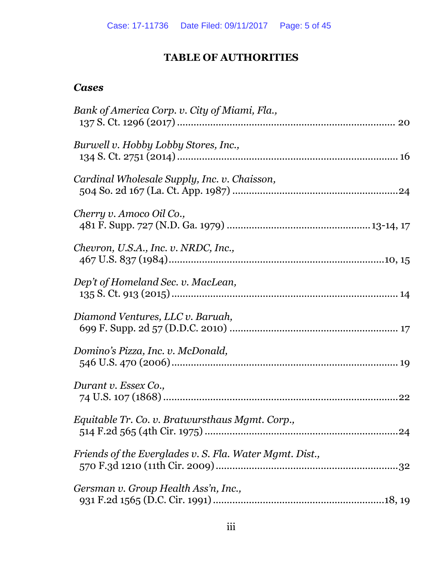# **TABLE OF AUTHORITIES**

### <span id="page-4-0"></span>*Cases*

| Bank of America Corp. v. City of Miami, Fla.,           |
|---------------------------------------------------------|
| Burwell v. Hobby Lobby Stores, Inc.,                    |
| Cardinal Wholesale Supply, Inc. v. Chaisson,            |
| Cherry v. Amoco Oil Co.,                                |
| Chevron, U.S.A., Inc. v. NRDC, Inc.,                    |
| Dep't of Homeland Sec. v. MacLean,                      |
| Diamond Ventures, LLC v. Baruah,                        |
| Domino's Pizza, Inc. v. McDonald,                       |
| Durant v. Essex Co.,                                    |
| Equitable Tr. Co. v. Bratwursthaus Mgmt. Corp.,         |
| Friends of the Everglades v. S. Fla. Water Mgmt. Dist., |
| Gersman v. Group Health Ass'n, Inc.,                    |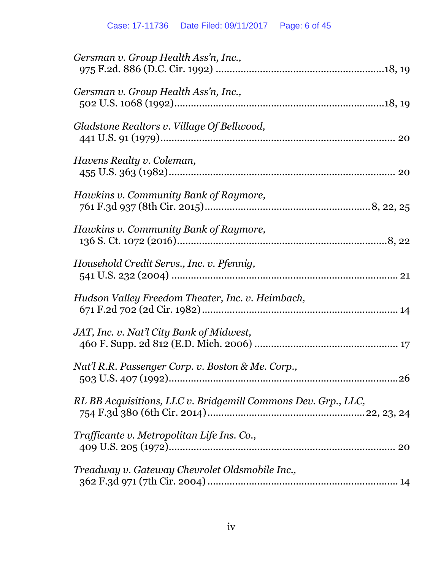| Gersman v. Group Health Ass'n, Inc.,                          |
|---------------------------------------------------------------|
| Gersman v. Group Health Ass'n, Inc.,                          |
| Gladstone Realtors v. Village Of Bellwood,                    |
| Havens Realty v. Coleman,                                     |
| Hawkins v. Community Bank of Raymore,                         |
| Hawkins v. Community Bank of Raymore,                         |
| Household Credit Servs., Inc. v. Pfennig,                     |
| Hudson Valley Freedom Theater, Inc. v. Heimbach,              |
| JAT, Inc. v. Nat'l City Bank of Midwest,                      |
| Nat'l R.R. Passenger Corp. v. Boston & Me. Corp.,             |
| RL BB Acquisitions, LLC v. Bridgemill Commons Dev. Grp., LLC, |
| Trafficante v. Metropolitan Life Ins. Co.,                    |
| Treadway v. Gateway Chevrolet Oldsmobile Inc.,                |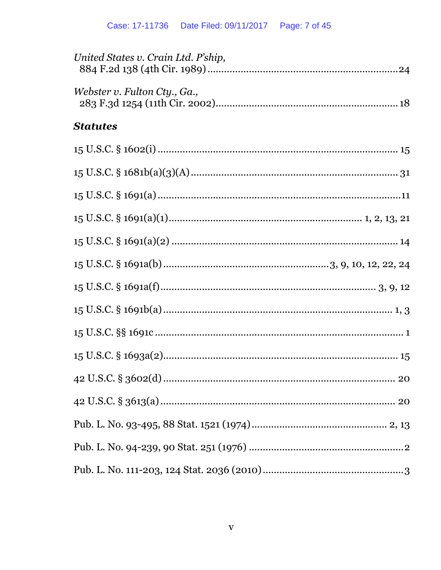| United States v. Crain Ltd. P'ship, |
|-------------------------------------|
| Webster v. Fulton Cty., Ga.,        |
| <b>Statutes</b>                     |
|                                     |
|                                     |
|                                     |
|                                     |
|                                     |
|                                     |
|                                     |
|                                     |
|                                     |
|                                     |
|                                     |
|                                     |
|                                     |
|                                     |
|                                     |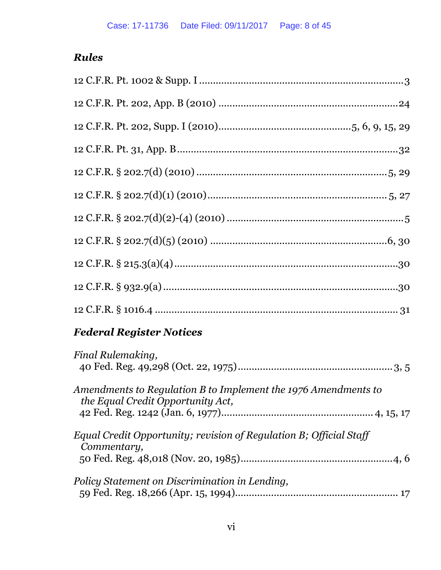# *Rules*

# *Federal Register Notices*

| Final Rulemaking,                                                                                   |
|-----------------------------------------------------------------------------------------------------|
| Amendments to Regulation B to Implement the 1976 Amendments to<br>the Equal Credit Opportunity Act, |
| Equal Credit Opportunity; revision of Regulation B; Official Staff<br>Commentary,                   |
| Policy Statement on Discrimination in Lending,                                                      |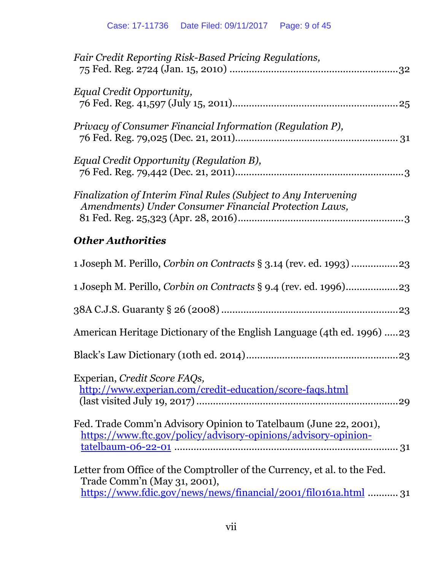| <b>Other Authorities</b><br>$\mathbf{r}$ large $\mathbf{r}$ and $\mathbf{r}$ and $\mathbf{r}$ and $\mathbf{r}$ and $\mathbf{r}$ and $\mathbf{r}$ and $\mathbf{r}$ and $\mathbf{r}$ and $\mathbf{r}$ and $\mathbf{r}$ and $\mathbf{r}$ and $\mathbf{r}$ and $\mathbf{r}$ and $\mathbf{r}$ and $\mathbf{r}$ and $\mathbf{r}$ an |
|-------------------------------------------------------------------------------------------------------------------------------------------------------------------------------------------------------------------------------------------------------------------------------------------------------------------------------|
| Finalization of Interim Final Rules (Subject to Any Intervening<br>Amendments) Under Consumer Financial Protection Laws,                                                                                                                                                                                                      |
| Equal Credit Opportunity (Regulation B),                                                                                                                                                                                                                                                                                      |
| Privacy of Consumer Financial Information (Regulation P),                                                                                                                                                                                                                                                                     |
| Equal Credit Opportunity,                                                                                                                                                                                                                                                                                                     |
| Fair Credit Reporting Risk-Based Pricing Regulations,                                                                                                                                                                                                                                                                         |

| American Heritage Dictionary of the English Language (4th ed. 1996) 23                                                                                                       |
|------------------------------------------------------------------------------------------------------------------------------------------------------------------------------|
|                                                                                                                                                                              |
| Experian, Credit Score FAQs,<br>http://www.experian.com/credit-education/score-faqs.html                                                                                     |
| Fed. Trade Comm'n Advisory Opinion to Tatelbaum (June 22, 2001),<br>https://www.ftc.gov/policy/advisory-opinions/advisory-opinion-                                           |
| Letter from Office of the Comptroller of the Currency, et al. to the Fed.<br>Trade Comm'n (May 31, 2001),<br>https://www.fdic.gov/news/news/financial/2001/fil0161a.html  31 |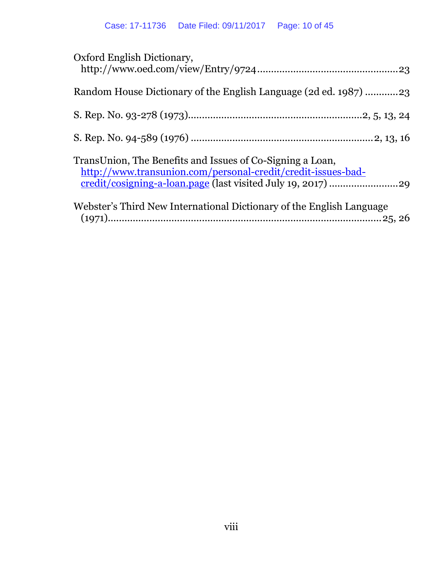| Oxford English Dictionary,                                                                                                |
|---------------------------------------------------------------------------------------------------------------------------|
| Random House Dictionary of the English Language (2d ed. 1987) 23                                                          |
|                                                                                                                           |
|                                                                                                                           |
| TransUnion, The Benefits and Issues of Co-Signing a Loan,<br>http://www.transunion.com/personal-credit/credit-issues-bad- |
| Webster's Third New International Dictionary of the English Language                                                      |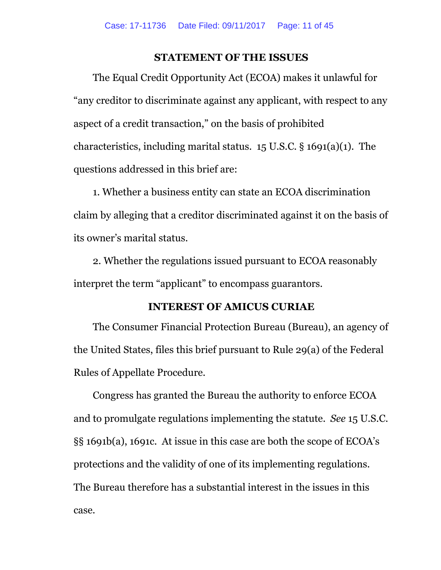#### **STATEMENT OF THE ISSUES**

<span id="page-10-0"></span>The Equal Credit Opportunity Act (ECOA) makes it unlawful for "any creditor to discriminate against any applicant, with respect to any aspect of a credit transaction," on the basis of prohibited characteristics, including marital status. 15 U.S.C. § 1691(a)(1). The questions addressed in this brief are:

1. Whether a business entity can state an ECOA discrimination claim by alleging that a creditor discriminated against it on the basis of its owner's marital status.

2. Whether the regulations issued pursuant to ECOA reasonably interpret the term "applicant" to encompass guarantors.

#### **INTEREST OF AMICUS CURIAE**

<span id="page-10-1"></span>The Consumer Financial Protection Bureau (Bureau), an agency of the United States, files this brief pursuant to Rule 29(a) of the Federal Rules of Appellate Procedure.

Congress has granted the Bureau the authority to enforce ECOA and to promulgate regulations implementing the statute. *See* 15 U.S.C. §§ 1691b(a), 1691c. At issue in this case are both the scope of ECOA's protections and the validity of one of its implementing regulations. The Bureau therefore has a substantial interest in the issues in this case.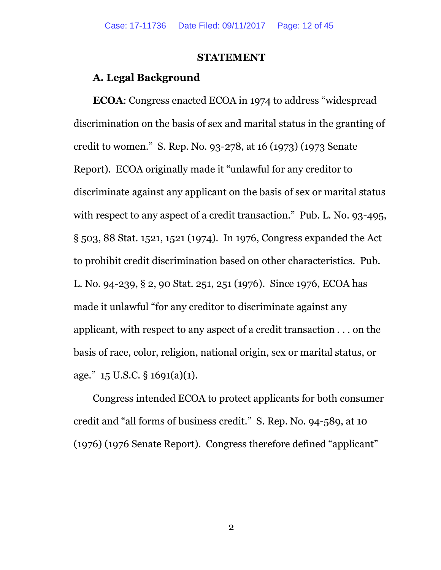#### **STATEMENT**

#### <span id="page-11-0"></span>**A. Legal Background**

**ECOA**: Congress enacted ECOA in 1974 to address "widespread discrimination on the basis of sex and marital status in the granting of credit to women." S. Rep. No. 93-278, at 16 (1973) (1973 Senate Report). ECOA originally made it "unlawful for any creditor to discriminate against any applicant on the basis of sex or marital status with respect to any aspect of a credit transaction." Pub. L. No. 93-495, § 503, 88 Stat. 1521, 1521 (1974). In 1976, Congress expanded the Act to prohibit credit discrimination based on other characteristics. Pub. L. No. 94-239, § 2, 90 Stat. 251, 251 (1976). Since 1976, ECOA has made it unlawful "for any creditor to discriminate against any applicant, with respect to any aspect of a credit transaction . . . on the basis of race, color, religion, national origin, sex or marital status, or age."  $15$  U.S.C. §  $1691(a)(1)$ .

Congress intended ECOA to protect applicants for both consumer credit and "all forms of business credit." S. Rep. No. 94-589, at 10 (1976) (1976 Senate Report). Congress therefore defined "applicant"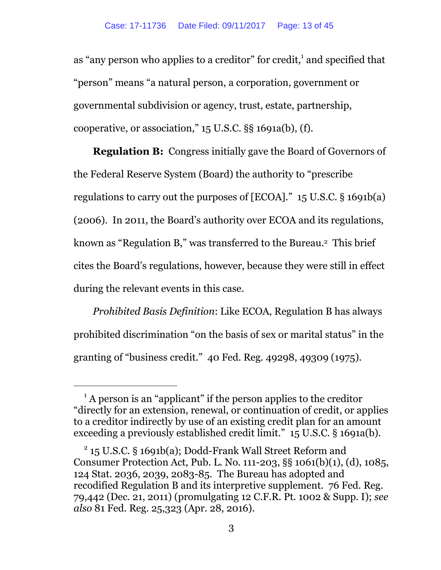as "any person who applies to a creditor" for credit,<sup>1</sup> and specified that "person" means "a natural person, a corporation, government or governmental subdivision or agency, trust, estate, partnership, cooperative, or association," 15 U.S.C. §§ 1691a(b), (f).

**Regulation B:** Congress initially gave the Board of Governors of the Federal Reserve System (Board) the authority to "prescribe regulations to carry out the purposes of [ECOA]." 15 U.S.C. § 1691b(a) (2006). In 2011, the Board's authority over ECOA and its regulations, known as "Regulation B," was transferred to the Bureau.<sup>2</sup> This brief cites the Board's regulations, however, because they were still in effect during the relevant events in this case.

*Prohibited Basis Definition*: Like ECOA, Regulation B has always prohibited discrimination "on the basis of sex or marital status" in the granting of "business credit." 40 Fed. Reg. 49298, 49309 (1975).

<sup>&</sup>lt;sup>1</sup> A person is an "applicant" if the person applies to the creditor "directly for an extension, renewal, or continuation of credit, or applies to a creditor indirectly by use of an existing credit plan for an amount exceeding a previously established credit limit." 15 U.S.C. § 1691a(b).

<sup>2</sup> 15 U.S.C. § 1691b(a); Dodd-Frank Wall Street Reform and Consumer Protection Act, Pub. L. No. 111-203, §§ 1061(b)(1), (d), 1085, 124 Stat. 2036, 2039, 2083-85. The Bureau has adopted and recodified Regulation B and its interpretive supplement. 76 Fed. Reg. 79,442 (Dec. 21, 2011) (promulgating 12 C.F.R. Pt. 1002 & Supp. I); *see also* 81 Fed. Reg. 25,323 (Apr. 28, 2016).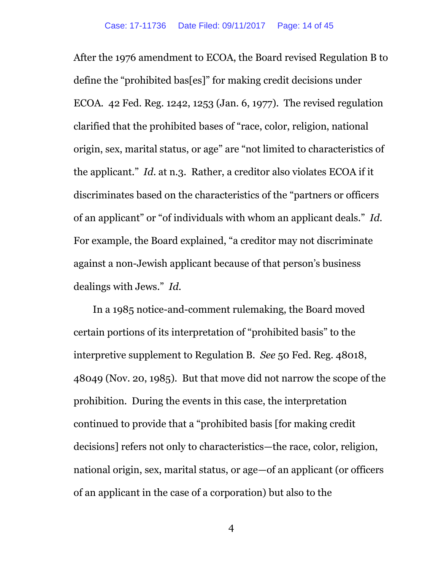After the 1976 amendment to ECOA, the Board revised Regulation B to define the "prohibited bas[es]" for making credit decisions under ECOA. 42 Fed. Reg. 1242, 1253 (Jan. 6, 1977). The revised regulation clarified that the prohibited bases of "race, color, religion, national origin, sex, marital status, or age" are "not limited to characteristics of the applicant." *Id*. at n.3. Rather, a creditor also violates ECOA if it discriminates based on the characteristics of the "partners or officers of an applicant" or "of individuals with whom an applicant deals." *Id.* For example, the Board explained, "a creditor may not discriminate against a non-Jewish applicant because of that person's business dealings with Jews." *Id.*

In a 1985 notice-and-comment rulemaking, the Board moved certain portions of its interpretation of "prohibited basis" to the interpretive supplement to Regulation B. *See* 50 Fed. Reg. 48018, 48049 (Nov. 20, 1985). But that move did not narrow the scope of the prohibition. During the events in this case, the interpretation continued to provide that a "prohibited basis [for making credit decisions] refers not only to characteristics—the race, color, religion, national origin, sex, marital status, or age—of an applicant (or officers of an applicant in the case of a corporation) but also to the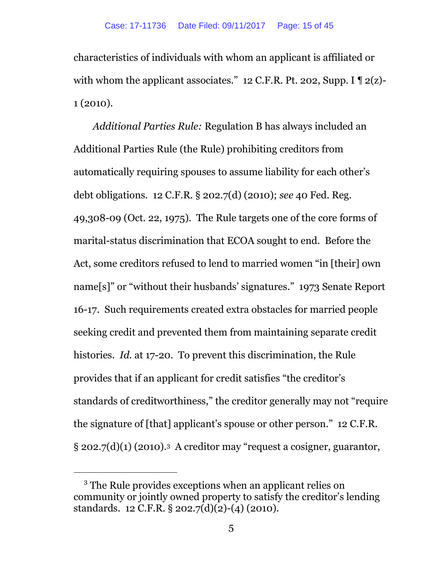characteristics of individuals with whom an applicant is affiliated or with whom the applicant associates." 12 C.F.R. Pt. 202, Supp. I  $\P$  2(z)-1 (2010).

*Additional Parties Rule:* Regulation B has always included an Additional Parties Rule (the Rule) prohibiting creditors from automatically requiring spouses to assume liability for each other's debt obligations. 12 C.F.R. § 202.7(d) (2010); *see* 40 Fed. Reg. 49,308-09 (Oct. 22, 1975). The Rule targets one of the core forms of marital-status discrimination that ECOA sought to end. Before the Act, some creditors refused to lend to married women "in [their] own name[s]" or "without their husbands' signatures." 1973 Senate Report 16-17. Such requirements created extra obstacles for married people seeking credit and prevented them from maintaining separate credit histories. *Id.* at 17-20. To prevent this discrimination, the Rule provides that if an applicant for credit satisfies "the creditor's standards of creditworthiness," the creditor generally may not "require the signature of [that] applicant's spouse or other person." 12 C.F.R.  $\S 202.7(d)(1)$  (2010).<sup>3</sup> A creditor may "request a cosigner, guarantor,

<sup>3</sup> The Rule provides exceptions when an applicant relies on community or jointly owned property to satisfy the creditor's lending standards. 12 C.F.R. § 202.7(d)(2)-(4) (2010).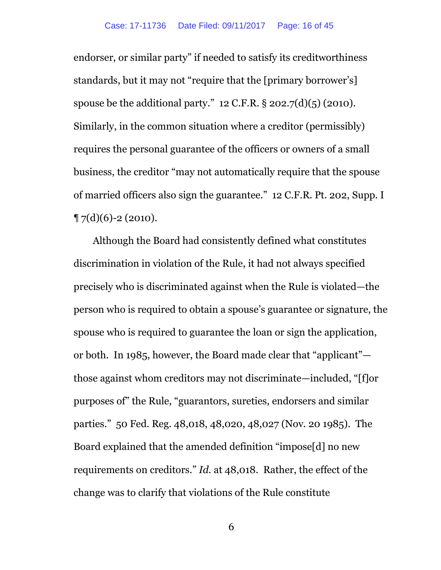endorser, or similar party" if needed to satisfy its creditworthiness standards, but it may not "require that the [primary borrower's] spouse be the additional party."  $12$  C.F.R. § 202.7(d)(5) (2010). Similarly, in the common situation where a creditor (permissibly) requires the personal guarantee of the officers or owners of a small business, the creditor "may not automatically require that the spouse of married officers also sign the guarantee." 12 C.F.R. Pt. 202, Supp. I  $\P$  7(d)(6)-2 (2010).

Although the Board had consistently defined what constitutes discrimination in violation of the Rule, it had not always specified precisely who is discriminated against when the Rule is violated—the person who is required to obtain a spouse's guarantee or signature, the spouse who is required to guarantee the loan or sign the application, or both. In 1985, however, the Board made clear that "applicant" those against whom creditors may not discriminate—included, "[f]or purposes of" the Rule, "guarantors, sureties, endorsers and similar parties." 50 Fed. Reg. 48,018, 48,020, 48,027 (Nov. 20 1985). The Board explained that the amended definition "impose[d] no new requirements on creditors." *Id.* at 48,018. Rather, the effect of the change was to clarify that violations of the Rule constitute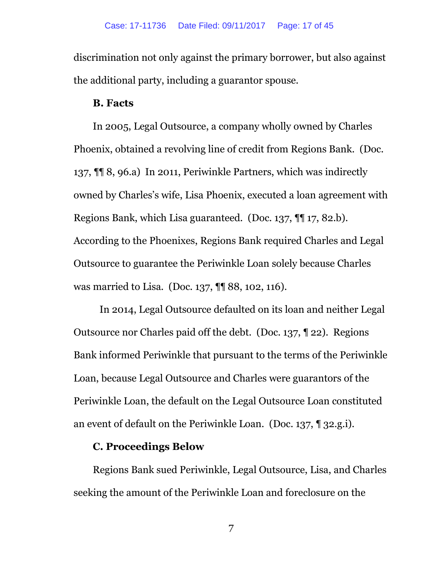discrimination not only against the primary borrower, but also against the additional party, including a guarantor spouse.

#### **B. Facts**

In 2005, Legal Outsource, a company wholly owned by Charles Phoenix, obtained a revolving line of credit from Regions Bank. (Doc. 137, ¶¶ 8, 96.a) In 2011, Periwinkle Partners, which was indirectly owned by Charles's wife, Lisa Phoenix, executed a loan agreement with Regions Bank, which Lisa guaranteed. (Doc. 137, ¶¶ 17, 82.b). According to the Phoenixes, Regions Bank required Charles and Legal Outsource to guarantee the Periwinkle Loan solely because Charles was married to Lisa. (Doc. 137, ¶¶ 88, 102, 116).

In 2014, Legal Outsource defaulted on its loan and neither Legal Outsource nor Charles paid off the debt. (Doc. 137, ¶ 22). Regions Bank informed Periwinkle that pursuant to the terms of the Periwinkle Loan, because Legal Outsource and Charles were guarantors of the Periwinkle Loan, the default on the Legal Outsource Loan constituted an event of default on the Periwinkle Loan. (Doc. 137, ¶ 32.g.i).

#### **C. Proceedings Below**

Regions Bank sued Periwinkle, Legal Outsource, Lisa, and Charles seeking the amount of the Periwinkle Loan and foreclosure on the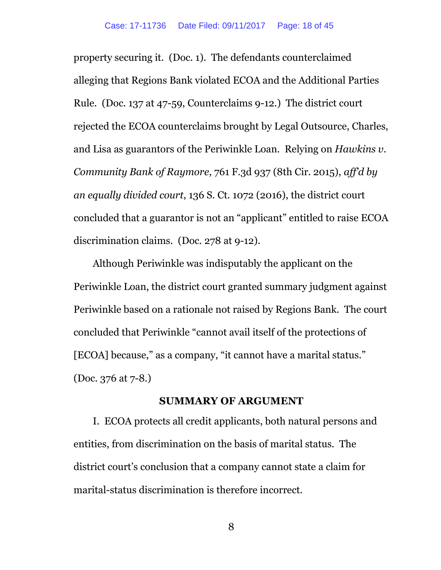property securing it. (Doc. 1). The defendants counterclaimed alleging that Regions Bank violated ECOA and the Additional Parties Rule. (Doc. 137 at 47-59, Counterclaims 9-12.) The district court rejected the ECOA counterclaims brought by Legal Outsource, Charles, and Lisa as guarantors of the Periwinkle Loan. Relying on *Hawkins v. Community Bank of Raymore*, 761 F.3d 937 (8th Cir. 2015), *aff'd by an equally divided court*, 136 S. Ct. 1072 (2016), the district court concluded that a guarantor is not an "applicant" entitled to raise ECOA discrimination claims. (Doc. 278 at 9-12).

Although Periwinkle was indisputably the applicant on the Periwinkle Loan, the district court granted summary judgment against Periwinkle based on a rationale not raised by Regions Bank. The court concluded that Periwinkle "cannot avail itself of the protections of [ECOA] because," as a company, "it cannot have a marital status." (Doc. 376 at 7-8.)

#### **SUMMARY OF ARGUMENT**

<span id="page-17-0"></span>I. ECOA protects all credit applicants, both natural persons and entities, from discrimination on the basis of marital status. The district court's conclusion that a company cannot state a claim for marital-status discrimination is therefore incorrect.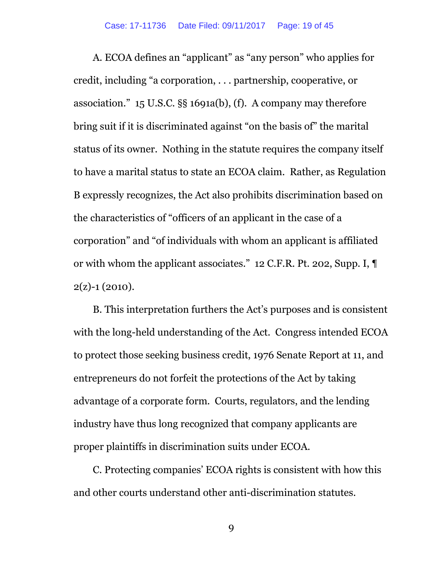A. ECOA defines an "applicant" as "any person" who applies for credit, including "a corporation, . . . partnership, cooperative, or association." 15 U.S.C. §§ 1691a(b), (f). A company may therefore bring suit if it is discriminated against "on the basis of" the marital status of its owner. Nothing in the statute requires the company itself to have a marital status to state an ECOA claim. Rather, as Regulation B expressly recognizes, the Act also prohibits discrimination based on the characteristics of "officers of an applicant in the case of a corporation" and "of individuals with whom an applicant is affiliated or with whom the applicant associates." 12 C.F.R. Pt. 202, Supp. I, ¶  $2(2) - 1(2010)$ .

B. This interpretation furthers the Act's purposes and is consistent with the long-held understanding of the Act. Congress intended ECOA to protect those seeking business credit, 1976 Senate Report at 11, and entrepreneurs do not forfeit the protections of the Act by taking advantage of a corporate form. Courts, regulators, and the lending industry have thus long recognized that company applicants are proper plaintiffs in discrimination suits under ECOA.

C. Protecting companies' ECOA rights is consistent with how this and other courts understand other anti-discrimination statutes.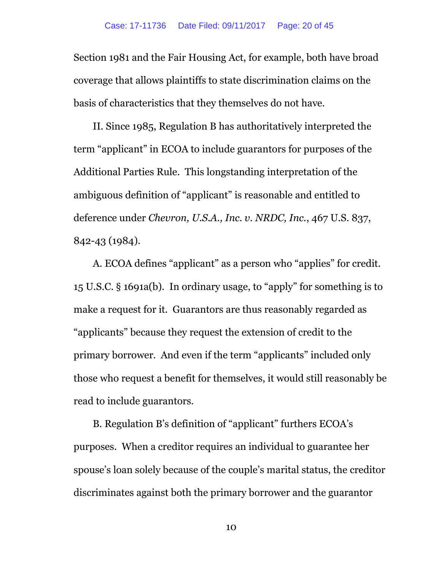Section 1981 and the Fair Housing Act, for example, both have broad coverage that allows plaintiffs to state discrimination claims on the basis of characteristics that they themselves do not have.

II. Since 1985, Regulation B has authoritatively interpreted the term "applicant" in ECOA to include guarantors for purposes of the Additional Parties Rule. This longstanding interpretation of the ambiguous definition of "applicant" is reasonable and entitled to deference under *Chevron, U.S.A., Inc. v. NRDC, Inc.*, 467 U.S. 837, 842-43 (1984).

A. ECOA defines "applicant" as a person who "applies" for credit. 15 U.S.C. § 1691a(b). In ordinary usage, to "apply" for something is to make a request for it. Guarantors are thus reasonably regarded as "applicants" because they request the extension of credit to the primary borrower. And even if the term "applicants" included only those who request a benefit for themselves, it would still reasonably be read to include guarantors.

B. Regulation B's definition of "applicant" furthers ECOA's purposes. When a creditor requires an individual to guarantee her spouse's loan solely because of the couple's marital status, the creditor discriminates against both the primary borrower and the guarantor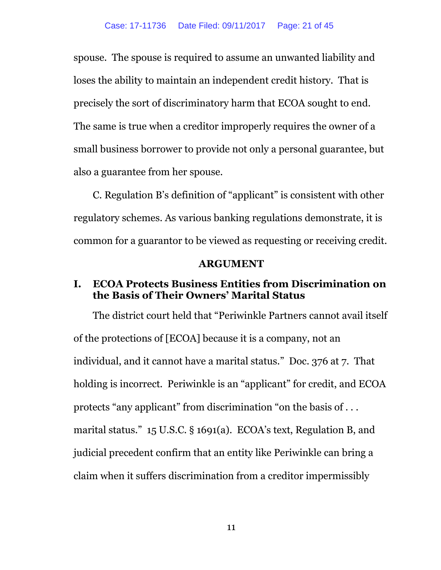spouse. The spouse is required to assume an unwanted liability and loses the ability to maintain an independent credit history. That is precisely the sort of discriminatory harm that ECOA sought to end. The same is true when a creditor improperly requires the owner of a small business borrower to provide not only a personal guarantee, but also a guarantee from her spouse.

C. Regulation B's definition of "applicant" is consistent with other regulatory schemes. As various banking regulations demonstrate, it is common for a guarantor to be viewed as requesting or receiving credit.

#### **ARGUMENT**

#### <span id="page-20-1"></span><span id="page-20-0"></span>**I. ECOA Protects Business Entities from Discrimination on the Basis of Their Owners' Marital Status**

The district court held that "Periwinkle Partners cannot avail itself of the protections of [ECOA] because it is a company, not an individual, and it cannot have a marital status." Doc. 376 at 7. That holding is incorrect. Periwinkle is an "applicant" for credit, and ECOA protects "any applicant" from discrimination "on the basis of . . . marital status." 15 U.S.C. § 1691(a). ECOA's text, Regulation B, and judicial precedent confirm that an entity like Periwinkle can bring a claim when it suffers discrimination from a creditor impermissibly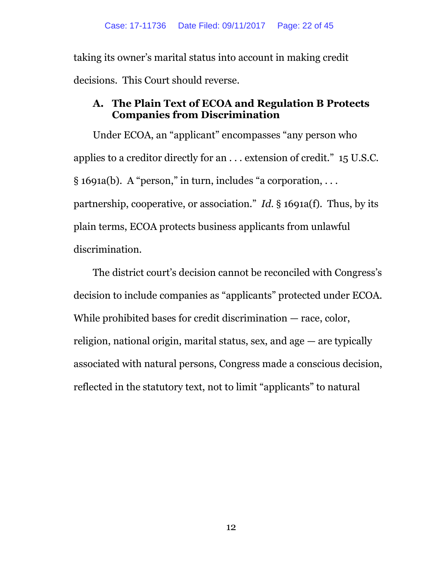taking its owner's marital status into account in making credit decisions. This Court should reverse.

### <span id="page-21-0"></span>**A. The Plain Text of ECOA and Regulation B Protects Companies from Discrimination**

Under ECOA, an "applicant" encompasses "any person who applies to a creditor directly for an . . . extension of credit." 15 U.S.C. § 1691a(b). A "person," in turn, includes "a corporation, . . . partnership, cooperative, or association." *Id.* § 1691a(f). Thus, by its plain terms, ECOA protects business applicants from unlawful discrimination.

The district court's decision cannot be reconciled with Congress's decision to include companies as "applicants" protected under ECOA. While prohibited bases for credit discrimination — race, color, religion, national origin, marital status, sex, and age — are typically associated with natural persons, Congress made a conscious decision, reflected in the statutory text, not to limit "applicants" to natural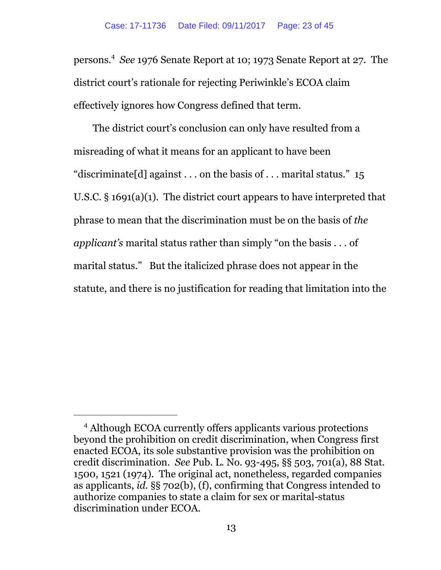persons.<sup>4</sup> *See* 1976 Senate Report at 10; 1973 Senate Report at 27. The district court's rationale for rejecting Periwinkle's ECOA claim effectively ignores how Congress defined that term.

The district court's conclusion can only have resulted from a misreading of what it means for an applicant to have been "discriminate [d] against . . . on the basis of . . . marital status."  $15$ U.S.C. § 1691(a)(1). The district court appears to have interpreted that phrase to mean that the discrimination must be on the basis of *the applicant's* marital status rather than simply "on the basis . . . of marital status." But the italicized phrase does not appear in the statute, and there is no justification for reading that limitation into the

<sup>4</sup> Although ECOA currently offers applicants various protections beyond the prohibition on credit discrimination, when Congress first enacted ECOA, its sole substantive provision was the prohibition on credit discrimination. *See* Pub. L. No. 93-495, §§ 503, 701(a), 88 Stat. 1500, 1521 (1974). The original act, nonetheless, regarded companies as applicants, *id.* §§ 702(b), (f), confirming that Congress intended to authorize companies to state a claim for sex or marital-status discrimination under ECOA.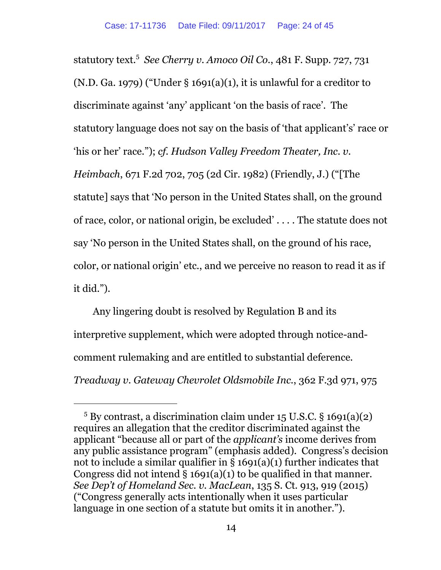statutory text.<sup>5</sup> *See Cherry v. Amoco Oil Co.*, 481 F. Supp. 727, 731 (N.D. Ga. 1979) ("Under § 1691(a)(1), it is unlawful for a creditor to discriminate against 'any' applicant 'on the basis of race'. The statutory language does not say on the basis of 'that applicant's' race or 'his or her' race."); *cf. Hudson Valley Freedom Theater, Inc. v. Heimbach*, 671 F.2d 702, 705 (2d Cir. 1982) (Friendly, J.) ("[The statute] says that 'No person in the United States shall, on the ground of race, color, or national origin, be excluded' . . . . The statute does not say 'No person in the United States shall, on the ground of his race, color, or national origin' etc., and we perceive no reason to read it as if it did.").

Any lingering doubt is resolved by Regulation B and its interpretive supplement, which were adopted through notice-andcomment rulemaking and are entitled to substantial deference. *Treadway v. Gateway Chevrolet Oldsmobile Inc.*, 362 F.3d 971, 975

 $5$  By contrast, a discrimination claim under 15 U.S.C. § 1691(a)(2) requires an allegation that the creditor discriminated against the applicant "because all or part of the *applicant's* income derives from any public assistance program" (emphasis added). Congress's decision not to include a similar qualifier in § 1691(a)(1) further indicates that Congress did not intend  $\S$  1691(a)(1) to be qualified in that manner. *See Dep't of Homeland Sec. v. MacLean*, 135 S. Ct. 913, 919 (2015) ("Congress generally acts intentionally when it uses particular language in one section of a statute but omits it in another.").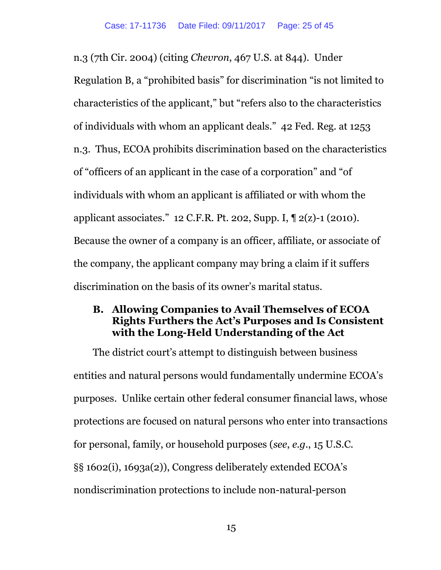n.3 (7th Cir. 2004) (citing *Chevron*, 467 U.S. at 844). Under Regulation B, a "prohibited basis" for discrimination "is not limited to characteristics of the applicant," but "refers also to the characteristics of individuals with whom an applicant deals." 42 Fed. Reg. at 1253 n.3. Thus, ECOA prohibits discrimination based on the characteristics of "officers of an applicant in the case of a corporation" and "of individuals with whom an applicant is affiliated or with whom the applicant associates." 12 C.F.R. Pt. 202, Supp. I, ¶ 2(z)-1 (2010). Because the owner of a company is an officer, affiliate, or associate of the company, the applicant company may bring a claim if it suffers discrimination on the basis of its owner's marital status.

#### <span id="page-24-0"></span>**B. Allowing Companies to Avail Themselves of ECOA Rights Furthers the Act's Purposes and Is Consistent with the Long-Held Understanding of the Act**

The district court's attempt to distinguish between business entities and natural persons would fundamentally undermine ECOA's purposes. Unlike certain other federal consumer financial laws, whose protections are focused on natural persons who enter into transactions for personal, family, or household purposes (*see*, *e.g.*, 15 U.S.C. §§ 1602(i), 1693a(2)), Congress deliberately extended ECOA's nondiscrimination protections to include non-natural-person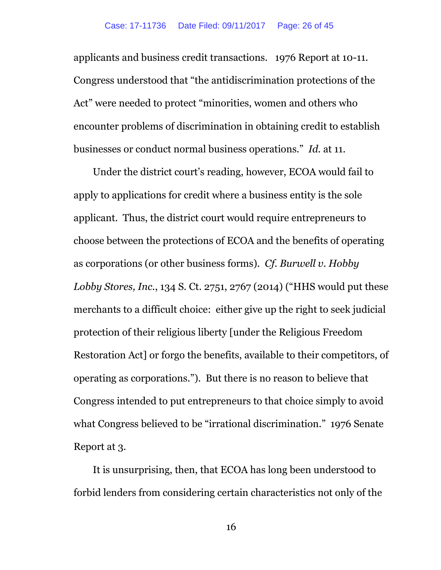applicants and business credit transactions. 1976 Report at 10-11. Congress understood that "the antidiscrimination protections of the Act" were needed to protect "minorities, women and others who encounter problems of discrimination in obtaining credit to establish businesses or conduct normal business operations." *Id.* at 11.

Under the district court's reading, however, ECOA would fail to apply to applications for credit where a business entity is the sole applicant. Thus, the district court would require entrepreneurs to choose between the protections of ECOA and the benefits of operating as corporations (or other business forms). *Cf. Burwell v. Hobby Lobby Stores, Inc.*, 134 S. Ct. 2751, 2767 (2014) ("HHS would put these merchants to a difficult choice: either give up the right to seek judicial protection of their religious liberty [under the Religious Freedom Restoration Act] or forgo the benefits, available to their competitors, of operating as corporations."). But there is no reason to believe that Congress intended to put entrepreneurs to that choice simply to avoid what Congress believed to be "irrational discrimination." 1976 Senate Report at 3.

It is unsurprising, then, that ECOA has long been understood to forbid lenders from considering certain characteristics not only of the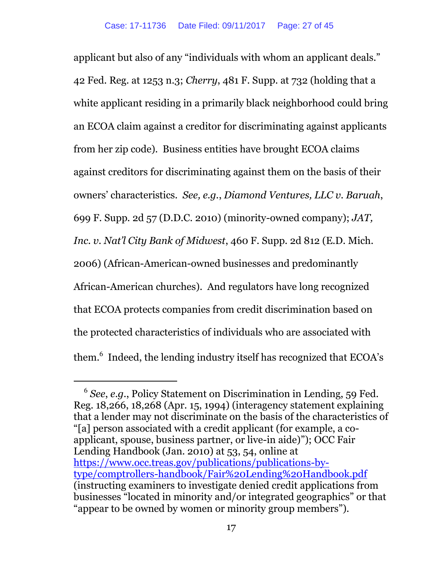applicant but also of any "individuals with whom an applicant deals." 42 Fed. Reg. at 1253 n.3; *Cherry*, 481 F. Supp. at 732 (holding that a white applicant residing in a primarily black neighborhood could bring an ECOA claim against a creditor for discriminating against applicants from her zip code). Business entities have brought ECOA claims against creditors for discriminating against them on the basis of their owners' characteristics. *See, e.g.*, *Diamond Ventures, LLC v. Baruah*, 699 F. Supp. 2d 57 (D.D.C. 2010) (minority-owned company); *JAT, Inc. v. Nat'l City Bank of Midwest*, 460 F. Supp. 2d 812 (E.D. Mich. 2006) (African-American-owned businesses and predominantly African-American churches). And regulators have long recognized that ECOA protects companies from credit discrimination based on the protected characteristics of individuals who are associated with them.<sup>6</sup> Indeed, the lending industry itself has recognized that ECOA's

<sup>6</sup> *See*, *e.g.*, Policy Statement on Discrimination in Lending, 59 Fed. Reg. 18,266, 18,268 (Apr. 15, 1994) (interagency statement explaining that a lender may not discriminate on the basis of the characteristics of "[a] person associated with a credit applicant (for example, a coapplicant, spouse, business partner, or live-in aide)"); OCC Fair Lending Handbook (Jan. 2010) at 53, 54, online at [https://www.occ.treas.gov/publications/publications-by](https://www.occ.treas.gov/publications/publications-by-type/comptrollers-handbook/Fair%20Lending%20Handbook.pdf)[type/comptrollers-handbook/Fair%20Lending%20Handbook.pdf](https://www.occ.treas.gov/publications/publications-by-type/comptrollers-handbook/Fair%20Lending%20Handbook.pdf) (instructing examiners to investigate denied credit applications from businesses "located in minority and/or integrated geographics" or that "appear to be owned by women or minority group members").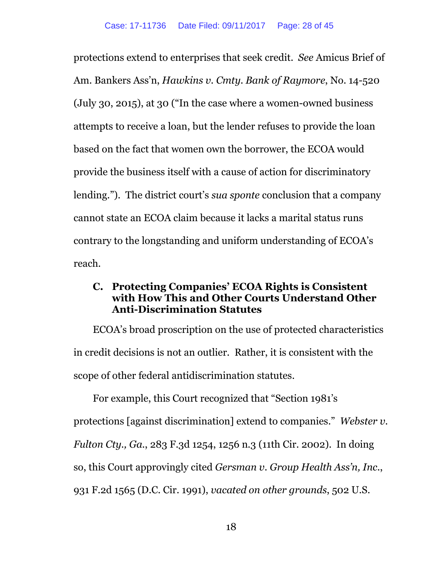protections extend to enterprises that seek credit. *See* Amicus Brief of Am. Bankers Ass'n, *Hawkins v. Cmty. Bank of Raymore*, No. 14-520 (July 30, 2015), at 30 ("In the case where a women-owned business attempts to receive a loan, but the lender refuses to provide the loan based on the fact that women own the borrower, the ECOA would provide the business itself with a cause of action for discriminatory lending."). The district court's *sua sponte* conclusion that a company cannot state an ECOA claim because it lacks a marital status runs contrary to the longstanding and uniform understanding of ECOA's reach.

### <span id="page-27-0"></span>**C. Protecting Companies' ECOA Rights is Consistent with How This and Other Courts Understand Other Anti-Discrimination Statutes**

ECOA's broad proscription on the use of protected characteristics in credit decisions is not an outlier. Rather, it is consistent with the scope of other federal antidiscrimination statutes.

For example, this Court recognized that "Section 1981's protections [against discrimination] extend to companies." *Webster v. Fulton Cty., Ga.*, 283 F.3d 1254, 1256 n.3 (11th Cir. 2002). In doing so, this Court approvingly cited *Gersman v. Group Health Ass'n, Inc.*, 931 F.2d 1565 (D.C. Cir. 1991), *vacated on other grounds*, 502 U.S.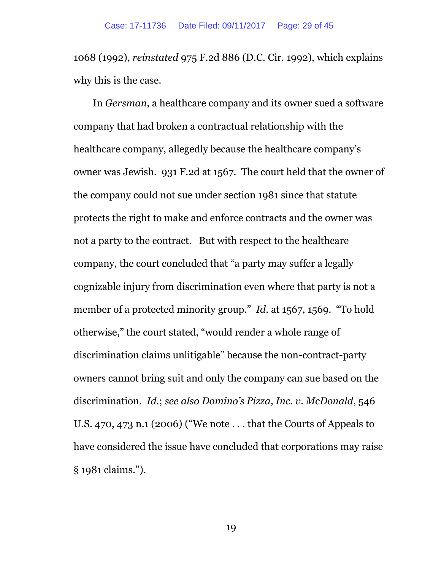1068 (1992), *reinstated* 975 F.2d 886 (D.C. Cir. 1992), which explains why this is the case.

In *Gersman*, a healthcare company and its owner sued a software company that had broken a contractual relationship with the healthcare company, allegedly because the healthcare company's owner was Jewish. 931 F.2d at 1567. The court held that the owner of the company could not sue under section 1981 since that statute protects the right to make and enforce contracts and the owner was not a party to the contract. But with respect to the healthcare company, the court concluded that "a party may suffer a legally cognizable injury from discrimination even where that party is not a member of a protected minority group." *Id.* at 1567, 1569. "To hold otherwise," the court stated, "would render a whole range of discrimination claims unlitigable" because the non-contract-party owners cannot bring suit and only the company can sue based on the discrimination. *Id.*; *see also Domino's Pizza, Inc. v. McDonald*, 546 U.S. 470, 473 n.1 (2006) ("We note . . . that the Courts of Appeals to have considered the issue have concluded that corporations may raise § 1981 claims.").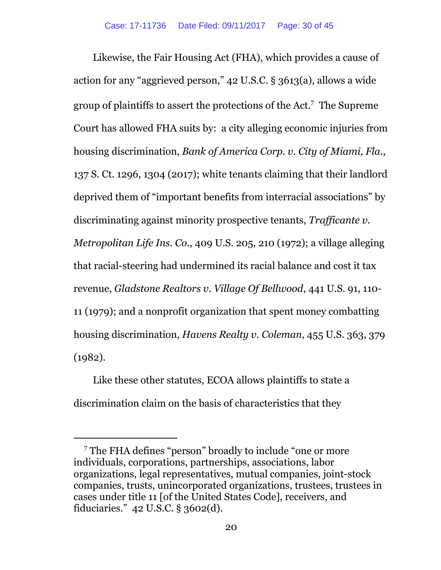Likewise, the Fair Housing Act (FHA), which provides a cause of action for any "aggrieved person," 42 U.S.C. § 3613(a), allows a wide group of plaintiffs to assert the protections of the Act. $^7$  The Supreme Court has allowed FHA suits by: a city alleging economic injuries from housing discrimination, *Bank of America Corp. v. City of Miami, Fla.*, 137 S. Ct. 1296, 1304 (2017); white tenants claiming that their landlord deprived them of "important benefits from interracial associations" by discriminating against minority prospective tenants, *Trafficante v. Metropolitan Life Ins. Co.*, 409 U.S. 205, 210 (1972); a village alleging that racial-steering had undermined its racial balance and cost it tax revenue, *Gladstone Realtors v. Village Of Bellwood*, 441 U.S. 91, 110- 11 (1979); and a nonprofit organization that spent money combatting housing discrimination, *Havens Realty v. Coleman*, 455 U.S. 363, 379 (1982).

Like these other statutes, ECOA allows plaintiffs to state a discrimination claim on the basis of characteristics that they

<sup>7</sup> The FHA defines "person" broadly to include "one or more individuals, corporations, partnerships, associations, labor organizations, legal representatives, mutual companies, joint-stock companies, trusts, unincorporated organizations, trustees, trustees in cases under title 11 [of the United States Code], receivers, and fiduciaries." 42 U.S.C. § 3602(d).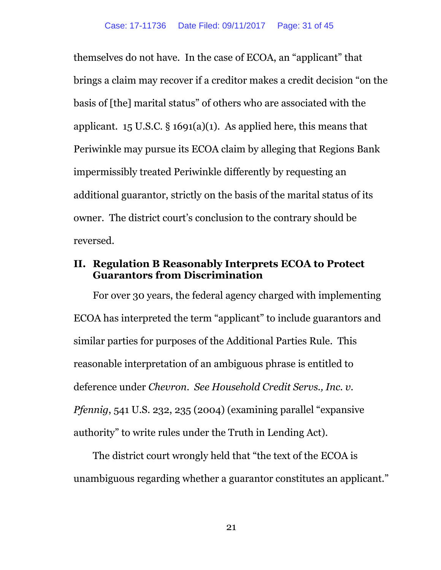themselves do not have. In the case of ECOA, an "applicant" that brings a claim may recover if a creditor makes a credit decision "on the basis of [the] marital status" of others who are associated with the applicant. 15 U.S.C.  $\S$  1691(a)(1). As applied here, this means that Periwinkle may pursue its ECOA claim by alleging that Regions Bank impermissibly treated Periwinkle differently by requesting an additional guarantor, strictly on the basis of the marital status of its owner. The district court's conclusion to the contrary should be reversed.

### <span id="page-30-0"></span>**II. Regulation B Reasonably Interprets ECOA to Protect Guarantors from Discrimination**

For over 30 years, the federal agency charged with implementing ECOA has interpreted the term "applicant" to include guarantors and similar parties for purposes of the Additional Parties Rule. This reasonable interpretation of an ambiguous phrase is entitled to deference under *Chevron*. *See Household Credit Servs., Inc. v. Pfennig*, 541 U.S. 232, 235 (2004) (examining parallel "expansive authority" to write rules under the Truth in Lending Act).

The district court wrongly held that "the text of the ECOA is unambiguous regarding whether a guarantor constitutes an applicant."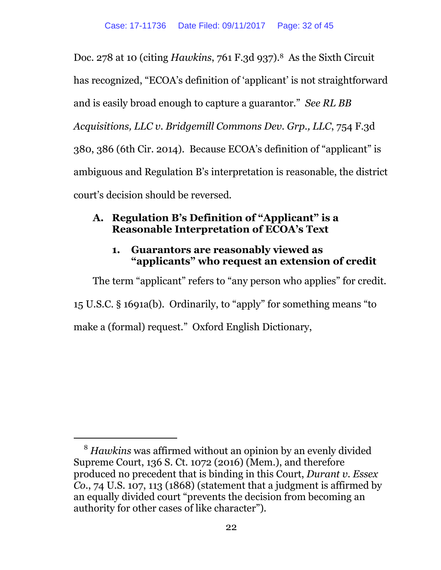Doc. 278 at 10 (citing *Hawkins*, 761 F.3d 937).8 As the Sixth Circuit has recognized, "ECOA's definition of 'applicant' is not straightforward and is easily broad enough to capture a guarantor." *See RL BB Acquisitions, LLC v. Bridgemill Commons Dev. Grp., LLC*, 754 F.3d 380, 386 (6th Cir. 2014). Because ECOA's definition of "applicant" is ambiguous and Regulation B's interpretation is reasonable, the district court's decision should be reversed.

# <span id="page-31-0"></span>**A. Regulation B's Definition of "Applicant" is a Reasonable Interpretation of ECOA's Text**

### **1. Guarantors are reasonably viewed as "applicants" who request an extension of credit**

<span id="page-31-1"></span>The term "applicant" refers to "any person who applies" for credit. 15 U.S.C. § 1691a(b). Ordinarily, to "apply" for something means "to make a (formal) request." Oxford English Dictionary,

<sup>8</sup> *Hawkins* was affirmed without an opinion by an evenly divided Supreme Court, 136 S. Ct. 1072 (2016) (Mem.), and therefore produced no precedent that is binding in this Court, *Durant v. Essex Co.*, 74 U.S. 107, 113 (1868) (statement that a judgment is affirmed by an equally divided court "prevents the decision from becoming an authority for other cases of like character").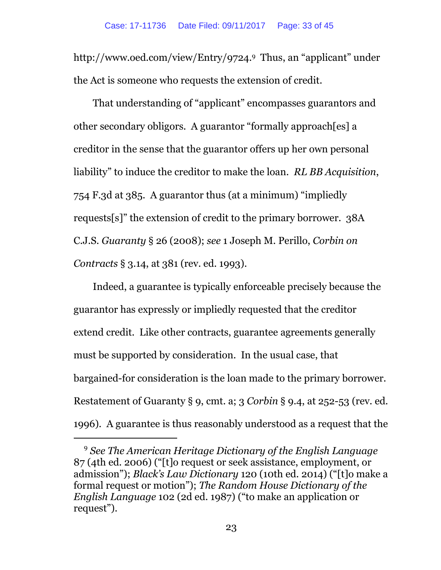<span id="page-32-0"></span>http://www.oed.com/view/Entry/9724.<sup>9</sup> Thus, an "applicant" under the Act is someone who requests the extension of credit.

That understanding of "applicant" encompasses guarantors and other secondary obligors. A guarantor "formally approach[es] a creditor in the sense that the guarantor offers up her own personal liability" to induce the creditor to make the loan. *RL BB Acquisition*, 754 F.3d at 385. A guarantor thus (at a minimum) "impliedly requests[s]" the extension of credit to the primary borrower. 38A C.J.S. *Guaranty* § 26 (2008); *see* 1 Joseph M. Perillo, *Corbin on Contracts* § 3.14, at 381 (rev. ed. 1993).

Indeed, a guarantee is typically enforceable precisely because the guarantor has expressly or impliedly requested that the creditor extend credit. Like other contracts, guarantee agreements generally must be supported by consideration. In the usual case, that bargained-for consideration is the loan made to the primary borrower. Restatement of Guaranty § 9, cmt. a; 3 *Corbin* § 9.4, at 252-53 (rev. ed. 1996). A guarantee is thus reasonably understood as a request that the

<sup>9</sup> *See The American Heritage Dictionary of the English Language* 87 (4th ed. 2006) ("[t]o request or seek assistance, employment, or admission"); *Black's Law Dictionary* 120 (10th ed. 2014) ("[t]o make a formal request or motion"); *The Random House Dictionary of the English Language* 102 (2d ed. 1987) ("to make an application or request").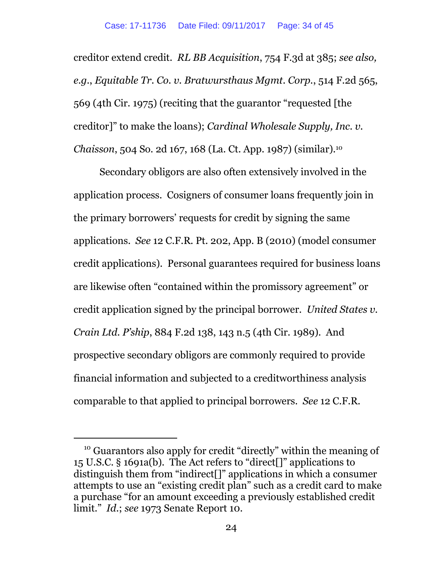creditor extend credit. *RL BB Acquisition*, 754 F.3d at 385; *see also, e.g.*, *Equitable Tr. Co. v. Bratwursthaus Mgmt. Corp.*, 514 F.2d 565, 569 (4th Cir. 1975) (reciting that the guarantor "requested [the creditor]" to make the loans); *Cardinal Wholesale Supply, Inc. v. Chaisson*, 504 So. 2d 167, 168 (La. Ct. App. 1987) (similar).<sup>10</sup>

Secondary obligors are also often extensively involved in the application process. Cosigners of consumer loans frequently join in the primary borrowers' requests for credit by signing the same applications. *See* 12 C.F.R. Pt. 202, App. B (2010) (model consumer credit applications). Personal guarantees required for business loans are likewise often "contained within the promissory agreement" or credit application signed by the principal borrower. *United States v. Crain Ltd. P'ship*, 884 F.2d 138, 143 n.5 (4th Cir. 1989). And prospective secondary obligors are commonly required to provide financial information and subjected to a creditworthiness analysis comparable to that applied to principal borrowers. *See* 12 C.F.R.

<sup>&</sup>lt;sup>10</sup> Guarantors also apply for credit "directly" within the meaning of 15 U.S.C. § 1691a(b). The Act refers to "direct[]" applications to distinguish them from "indirect[]" applications in which a consumer attempts to use an "existing credit plan" such as a credit card to make a purchase "for an amount exceeding a previously established credit limit." *Id.*; *see* 1973 Senate Report 10.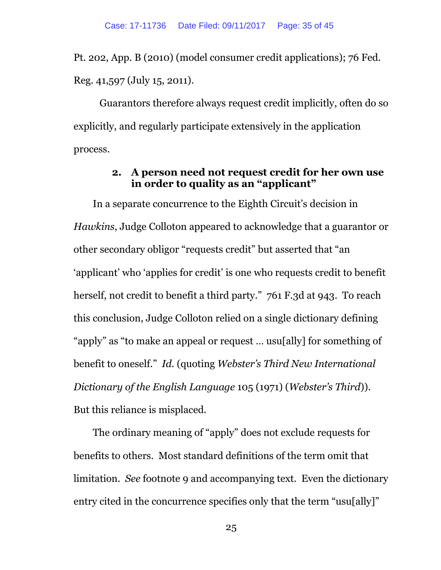Pt. 202, App. B (2010) (model consumer credit applications); 76 Fed. Reg. 41,597 (July 15, 2011).

Guarantors therefore always request credit implicitly, often do so explicitly, and regularly participate extensively in the application process.

#### **2. A person need not request credit for her own use in order to quality as an "applicant"**

<span id="page-34-0"></span>In a separate concurrence to the Eighth Circuit's decision in *Hawkins*, Judge Colloton appeared to acknowledge that a guarantor or other secondary obligor "requests credit" but asserted that "an 'applicant' who 'applies for credit' is one who requests credit to benefit herself, not credit to benefit a third party." 761 F.3d at 943. To reach this conclusion, Judge Colloton relied on a single dictionary defining "apply" as "to make an appeal or request … usu[ally] for something of benefit to oneself." *Id.* (quoting *Webster's Third New International Dictionary of the English Language* 105 (1971) (*Webster's Third*)). But this reliance is misplaced.

The ordinary meaning of "apply" does not exclude requests for benefits to others. Most standard definitions of the term omit that limitation. *See* footnote [9](#page-32-0) and accompanying text. Even the dictionary entry cited in the concurrence specifies only that the term "usu[ally]"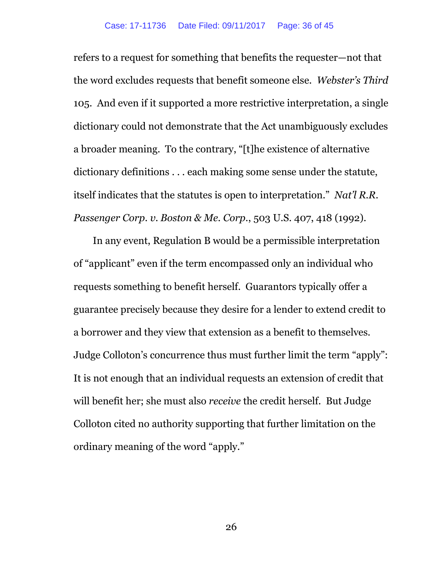refers to a request for something that benefits the requester—not that the word excludes requests that benefit someone else. *Webster's Third* 105. And even if it supported a more restrictive interpretation, a single dictionary could not demonstrate that the Act unambiguously excludes a broader meaning. To the contrary, "[t]he existence of alternative dictionary definitions . . . each making some sense under the statute, itself indicates that the statutes is open to interpretation." *Nat'l R.R. Passenger Corp. v. Boston & Me. Corp.*, 503 U.S. 407, 418 (1992).

In any event, Regulation B would be a permissible interpretation of "applicant" even if the term encompassed only an individual who requests something to benefit herself. Guarantors typically offer a guarantee precisely because they desire for a lender to extend credit to a borrower and they view that extension as a benefit to themselves. Judge Colloton's concurrence thus must further limit the term "apply": It is not enough that an individual requests an extension of credit that will benefit her; she must also *receive* the credit herself. But Judge Colloton cited no authority supporting that further limitation on the ordinary meaning of the word "apply."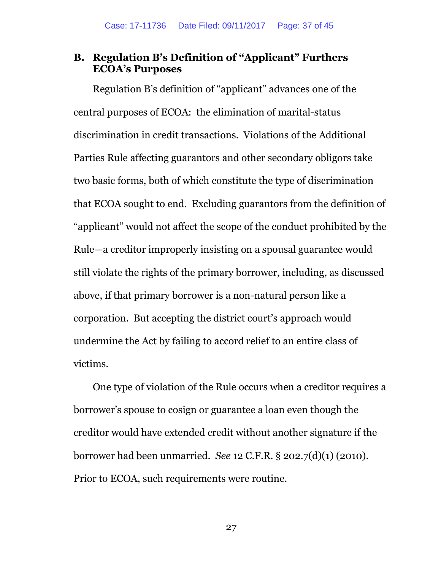#### <span id="page-36-0"></span>**B. Regulation B's Definition of "Applicant" Furthers ECOA's Purposes**

Regulation B's definition of "applicant" advances one of the central purposes of ECOA: the elimination of marital-status discrimination in credit transactions. Violations of the Additional Parties Rule affecting guarantors and other secondary obligors take two basic forms, both of which constitute the type of discrimination that ECOA sought to end. Excluding guarantors from the definition of "applicant" would not affect the scope of the conduct prohibited by the Rule—a creditor improperly insisting on a spousal guarantee would still violate the rights of the primary borrower, including, as discussed above, if that primary borrower is a non-natural person like a corporation. But accepting the district court's approach would undermine the Act by failing to accord relief to an entire class of victims.

One type of violation of the Rule occurs when a creditor requires a borrower's spouse to cosign or guarantee a loan even though the creditor would have extended credit without another signature if the borrower had been unmarried. *See* 12 C.F.R. § 202.7(d)(1) (2010). Prior to ECOA, such requirements were routine.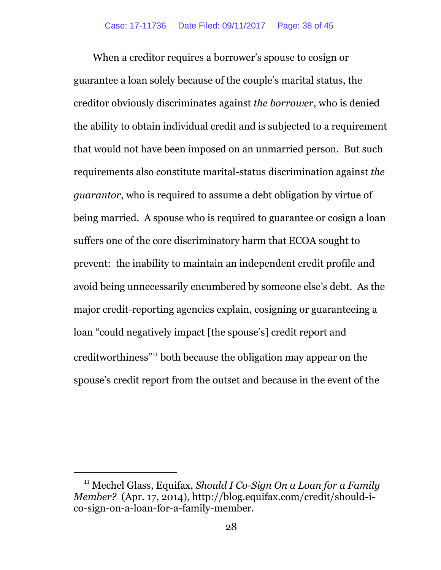When a creditor requires a borrower's spouse to cosign or guarantee a loan solely because of the couple's marital status, the creditor obviously discriminates against *the borrower*, who is denied the ability to obtain individual credit and is subjected to a requirement that would not have been imposed on an unmarried person. But such requirements also constitute marital-status discrimination against *the guarantor*, who is required to assume a debt obligation by virtue of being married. A spouse who is required to guarantee or cosign a loan suffers one of the core discriminatory harm that ECOA sought to prevent: the inability to maintain an independent credit profile and avoid being unnecessarily encumbered by someone else's debt. As the major credit-reporting agencies explain, cosigning or guaranteeing a loan "could negatively impact [the spouse's] credit report and creditworthiness"<sup>11</sup> both because the obligation may appear on the spouse's credit report from the outset and because in the event of the

<sup>11</sup> Mechel Glass, Equifax, *Should I Co-Sign On a Loan for a Family Member?* (Apr. 17, 2014), http://blog.equifax.com/credit/should-ico-sign-on-a-loan-for-a-family-member.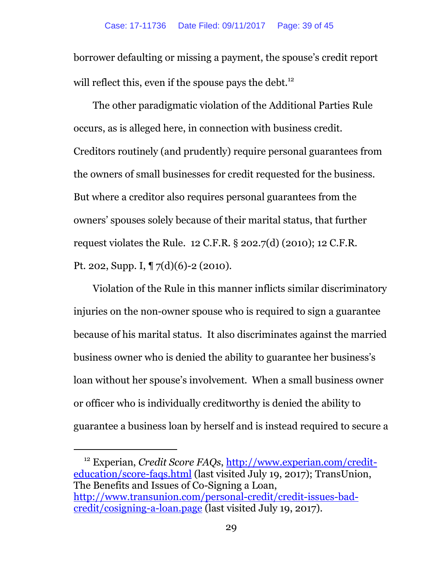borrower defaulting or missing a payment, the spouse's credit report will reflect this, even if the spouse pays the debt.<sup>12</sup>

The other paradigmatic violation of the Additional Parties Rule occurs, as is alleged here, in connection with business credit. Creditors routinely (and prudently) require personal guarantees from the owners of small businesses for credit requested for the business. But where a creditor also requires personal guarantees from the owners' spouses solely because of their marital status, that further request violates the Rule. 12 C.F.R. § 202.7(d) (2010); 12 C.F.R. Pt. 202, Supp. I, ¶ 7(d)(6)-2 (2010).

Violation of the Rule in this manner inflicts similar discriminatory injuries on the non-owner spouse who is required to sign a guarantee because of his marital status. It also discriminates against the married business owner who is denied the ability to guarantee her business's loan without her spouse's involvement. When a small business owner or officer who is individually creditworthy is denied the ability to guarantee a business loan by herself and is instead required to secure a

<sup>12</sup> Experian, *Credit Score FAQs*, [http://www.experian.com/credit](http://www.experian.com/credit-education/score-faqs.html)[education/score-faqs.html](http://www.experian.com/credit-education/score-faqs.html) (last visited July 19, 2017); TransUnion, The Benefits and Issues of Co-Signing a Loan, [http://www.transunion.com/personal-credit/credit-issues-bad](http://www.transunion.com/personal-credit/credit-issues-bad-credit/cosigning-a-loan.page)[credit/cosigning-a-loan.page](http://www.transunion.com/personal-credit/credit-issues-bad-credit/cosigning-a-loan.page) (last visited July 19, 2017).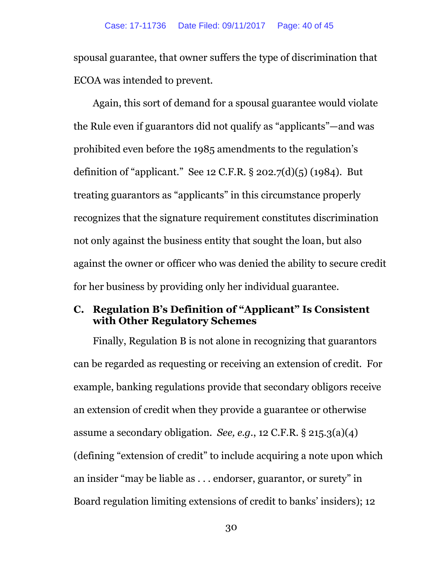spousal guarantee, that owner suffers the type of discrimination that ECOA was intended to prevent.

Again, this sort of demand for a spousal guarantee would violate the Rule even if guarantors did not qualify as "applicants"—and was prohibited even before the 1985 amendments to the regulation's definition of "applicant." See 12 C.F.R.  $\S$  202.7(d)(5) (1984). But treating guarantors as "applicants" in this circumstance properly recognizes that the signature requirement constitutes discrimination not only against the business entity that sought the loan, but also against the owner or officer who was denied the ability to secure credit for her business by providing only her individual guarantee.

### <span id="page-39-0"></span>**C. Regulation B's Definition of "Applicant" Is Consistent with Other Regulatory Schemes**

Finally, Regulation B is not alone in recognizing that guarantors can be regarded as requesting or receiving an extension of credit. For example, banking regulations provide that secondary obligors receive an extension of credit when they provide a guarantee or otherwise assume a secondary obligation. *See, e.g.*, 12 C.F.R. § 215.3(a)(4) (defining "extension of credit" to include acquiring a note upon which an insider "may be liable as . . . endorser, guarantor, or surety" in Board regulation limiting extensions of credit to banks' insiders); 12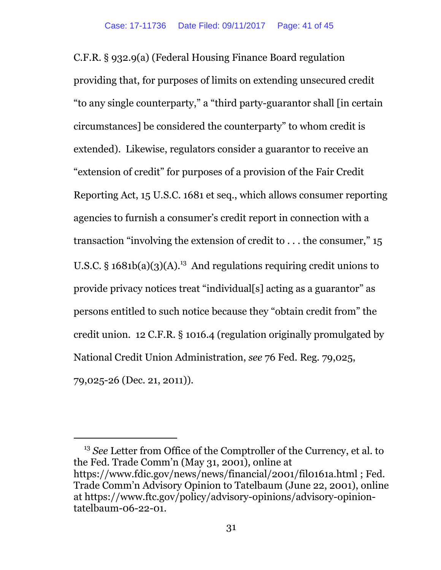C.F.R. § 932.9(a) (Federal Housing Finance Board regulation providing that, for purposes of limits on extending unsecured credit "to any single counterparty," a "third party-guarantor shall [in certain circumstances] be considered the counterparty" to whom credit is extended). Likewise, regulators consider a guarantor to receive an "extension of credit" for purposes of a provision of the Fair Credit Reporting Act, 15 U.S.C. 1681 et seq., which allows consumer reporting agencies to furnish a consumer's credit report in connection with a transaction "involving the extension of credit to  $\dots$  the consumer," 15 U.S.C.  $\S$  1681b(a)(3)(A).<sup>13</sup> And regulations requiring credit unions to provide privacy notices treat "individual[s] acting as a guarantor" as persons entitled to such notice because they "obtain credit from" the credit union. 12 C.F.R. § 1016.4 (regulation originally promulgated by National Credit Union Administration, *see* 76 Fed. Reg. 79,025, 79,025-26 (Dec. 21, 2011)).

<sup>13</sup> *See* Letter from Office of the Comptroller of the Currency, et al. to the Fed. Trade Comm'n (May 31, 2001), online at https://www.fdic.gov/news/news/financial/2001/fil0161a.html ; Fed. Trade Comm'n Advisory Opinion to Tatelbaum (June 22, 2001), online at https://www.ftc.gov/policy/advisory-opinions/advisory-opiniontatelbaum-06-22-01.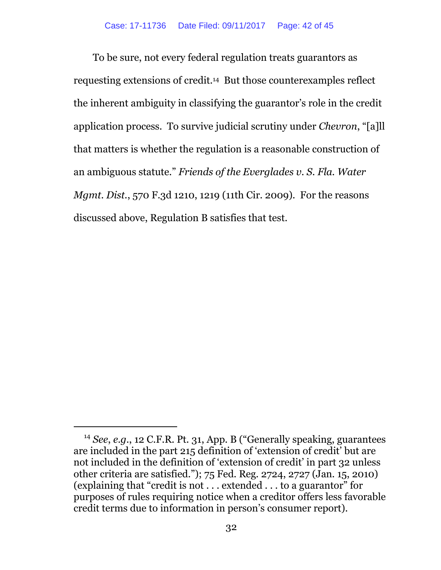To be sure, not every federal regulation treats guarantors as requesting extensions of credit.14 But those counterexamples reflect the inherent ambiguity in classifying the guarantor's role in the credit application process. To survive judicial scrutiny under *Chevron*, "[a]ll that matters is whether the regulation is a reasonable construction of an ambiguous statute." *Friends of the Everglades v. S. Fla. Water Mgmt. Dist.*, 570 F.3d 1210, 1219 (11th Cir. 2009). For the reasons discussed above, Regulation B satisfies that test.

<sup>14</sup> *See*, *e.g.*, 12 C.F.R. Pt. 31, App. B ("Generally speaking, guarantees are included in the part 215 definition of 'extension of credit' but are not included in the definition of 'extension of credit' in part 32 unless other criteria are satisfied."); 75 Fed. Reg. 2724, 2727 (Jan. 15, 2010) (explaining that "credit is not . . . extended . . . to a guarantor" for purposes of rules requiring notice when a creditor offers less favorable credit terms due to information in person's consumer report).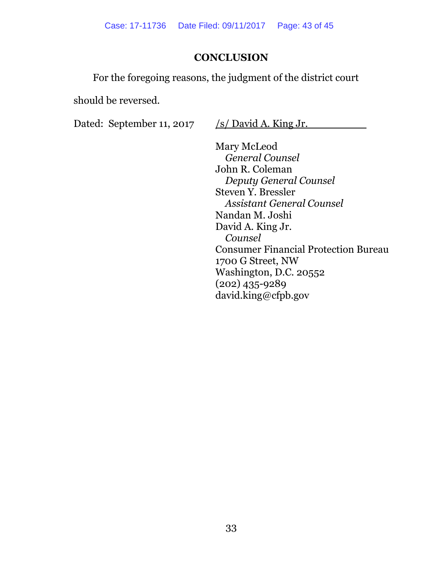### **CONCLUSION**

<span id="page-42-0"></span>For the foregoing reasons, the judgment of the district court

should be reversed.

Dated: September 11, 2017 /s/ David A. King Jr.

Mary McLeod *General Counsel* John R. Coleman *Deputy General Counsel* Steven Y. Bressler *Assistant General Counsel* Nandan M. Joshi David A. King Jr. *Counsel* Consumer Financial Protection Bureau 1700 G Street, NW Washington, D.C. 20552 (202) 435-9289 david.king@cfpb.gov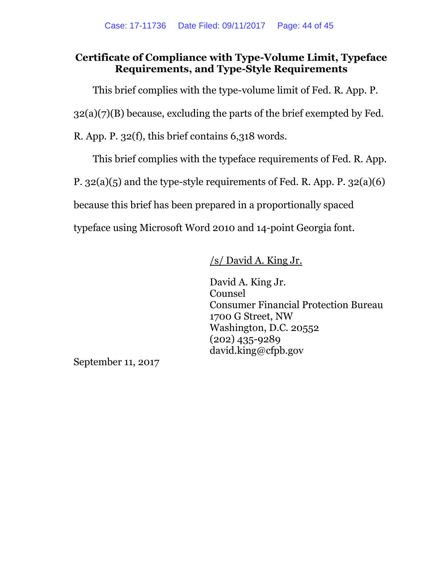### **Certificate of Compliance with Type-Volume Limit, Typeface Requirements, and Type-Style Requirements**

This brief complies with the type-volume limit of Fed. R. App. P.

 $32(a)(7)(B)$  because, excluding the parts of the brief exempted by Fed.

R. App. P. 32(f), this brief contains 6,318 words.

This brief complies with the typeface requirements of Fed. R. App.

P. 32(a)(5) and the type-style requirements of Fed. R. App. P. 32(a)(6)

because this brief has been prepared in a proportionally spaced

typeface using Microsoft Word 2010 and 14-point Georgia font.

/s/ David A. King Jr.

David A. King Jr. Counsel Consumer Financial Protection Bureau 1700 G Street, NW Washington, D.C. 20552 (202) 435-9289 david.king@cfpb.gov

September 11, 2017